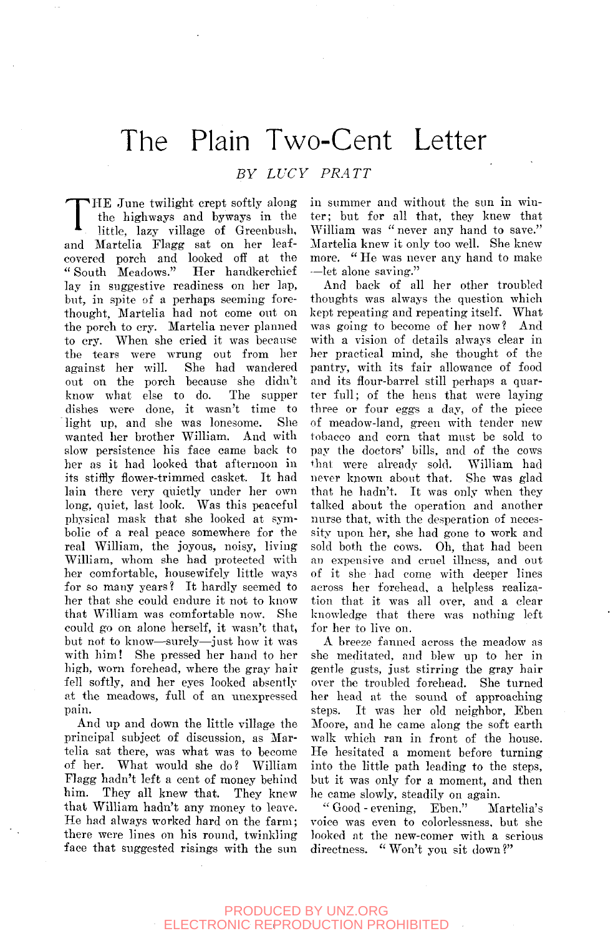# The Plain Two-Cent Letter

### *BY LUCY PRATT*

T HE June twilight crept softly along the highways and byways in the little, lazy village of Greenbush, and Martelia Flagg sat on her leafcovered porch and looked off at the " South Meadows." Her handkerchief lay in suggestive readiness on her lap, but, in spite of a perhaps seeming forethought, Martelia had not come out on the porch to cry. Martelia never planned to cry. When she cried it was because the tears were wrung out from her against her will. She had wandered out on the porch because she didn't know what else to do. The supper dishes were done, it wasn't time to light up, and she was lonesome. She wanted her brother William. And with slow persistence his face came back to her as it had looked that afternoon in its stiffly flower-trimmed casket. It had lain there very quietly under her own long, quiet, last look. Was this peaceful physical mask that she looked at symbolic of a real peace somewhere for the real William, the joyous, noisy, living William, whom she had protected with her comfortable, housewifely little ways for so many years? It hardly seemed to her that she could endure it not to know that William was comfortable now. She could go on alone herself, it wasn't that, but not to know—surely—just how it was with him! She pressed her hand to her high, worn forehead, where the gray hair fell softly, and her eyes looked absently at the meadows, full of an unexpressed pain.

And up and down the little village the principal subject of discussion, as Martelia sat there, was what was to become of her. What would she do? William Flagg hadn't left a cent of money behind him. They all knew that. They knew that William hadn't any money to leave. He had always worked hard on the farm; there were lines on his round, twinkling face that suggested risings with the sun

in summer and without the sun in winter; but for all that, they knew that William was " never any hand to save." Martelia knew it only too well. She knew more. " He was never any hand to make —let alone saving."

And back of all her other troubled thoughts was always the question which kept repeating and repeating itself. What was going to become of her now? And with a vision of details always clear in her practical mind, she thought of the pantry, with its fair allowance of food and its flour-barrel still perhaps a quarter full; of the hens that were laying three or four eggs a day, of the piece of meadow-land, green with tender new tobacco and corn that must be sold to pay the doctors' bills, and of the cows that were already sold. William had never known about that. She was glad that he hadn't. It was only when they talked about the operation and another nurse that, with the desperation of necessity upon her, she had gone to work and sold both the cows. Oh, that had been an expensive and cruel illness, and out of it she had come with deeper lines across her forehead, a helpless realization that it was all over, and a clear knowledge that there was nothing left for her to live on.

A breeze fanned across the meadow as she meditated, and blew up to her in gentle gusts, just stirring the gray hair over the troubled forehead. She turned her head at the sound of approaching steps. It was her old neighbor, Eben Moore, and he came along the soft earth walk which ran in front of the house. He hesitated a moment before turning into the little path leading to the steps, but it was only for a moment, and then he came slowly, steadily on again.

" Good - evening, Eben." Martelia's voice was even to colorlessness, but she looked at the new-comer with a serious directness. " Won't you sit down ?"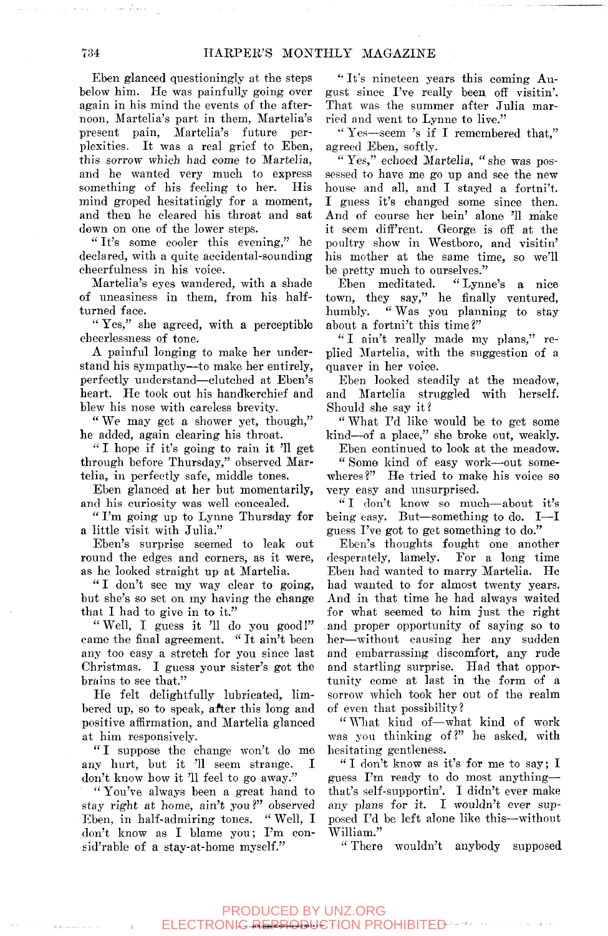Eben glanced questioningly at the steps below him. He was painfully going over again in his mind the events of the afternoon, Martelia's part in them, Martelia's present pain, Martelia's future perplexities. It was a real grief to Eben, this sorrow which had come to Martelia, and he wanted very much to express something of his feeling to her. His mind groped hesitatingly for a moment, and then he cleared his throat and sat down on one of the lower steps.

" It's some cooler this evening," he declared, with a quite accidental-sounding cheerfulness in his voice.

Martelia's eyes wandered, with a shade of uneasiness in them, from his halfturned face.

" Yes," she agreed, with a perceptible eheerlessness of tone.

A painful longing to make her understand his sympathy—to make her entirely, perfectly understand—clutched at Eben's heart. He took out his handkerchief and blew his nose with careless brevity.

" We may get a shower yet, though," he added, again clearing his throat.

'•' I hope if it's going to rain it '11 get through before Thursday," observed Martelia, in perfectly safe, middle tones.

Eben glanced at her but momentarily, and his curiosity was well concealed.

" I'm going up to Lynne Thursday for a little visit with Julia."

Eben's surprise seemed to leak out round the edges and corners, as it were, as he looked straight up at Martelia.

" I don't see my way clear to going, but she's so set on my having the change that I had to give in to it."

" Well, I guess it '11 do you good!" came the final agreement. " It ain't been any too easy a stretch for you since last Christmas. I guess your sister's got the brains to see that."

He felt delightfully lubricated, limbered up, so to speak, after this long and positive affirmation, and Martelia glanced at him responsively.

"I suppose the change won't do me any hurt, but it '11 seem strange. I don't know how it '11 feel to go away."

" You've always been a great hand to stay right at home, ain't you?" observed Eben, in half-admiring tones. " Well, I don't know as I blame you; I'm consid'rable of a stay-at-home myself."

*''* It's nineteen years this coming August since I've really been off visitin'. That was the summer after Julia married and went to Lynne to live."

'' Yes—seem 's if I remembered that," agreed Eben, softly.

" Yes," echoed Martelia, " she was possessed to have me go up and see the new house and all, and I stayed a fortni't. I guess it's changed some since then. And of course her bein' alone '11 make it seem diff'rent. George is off at the poultry show in Westboro, and visitin' his mother at the same time, so we'll be pretty much to ourselves."

Eben meditated. " Lynne's a nice town, they say," he finally ventured, humbly. " Was you planning to stay about a fortni't this time?"

" I ain't really made my plans," replied Martelia, with the suggestion of a quaver in her voice.

Eben looked steadily at the meadow, and Martelia struggled with herself. Should she say it?

" What I'd like would be to get some kind—of a place," she broke out, weakly.

Eben continued to look at the meadow. " Some kind of easy work—out somewheres ?" He tried to make his voice so very easy and unsurprised.

" I don't know so much—about it's being easy. But—something to do. I—I guess I've got to get something to do."

Eben's thoughts fought one another desperately, lamely. For a long time Eben had wanted to marry Martelia. He had wanted to for almost twenty years. And in that time he had always waited for what seemed to him just the right and proper opportunity of saying so to her—without causing her any sudden and embarrassing discomfort, any rude and startling surprise. Had that opportunity come at last in the form of a sorrow which took her out of the realm of even that possibility?

" What kind of—what kind of work was you thinking of?" he asked, with hesitating gentleness.

" I don't know as it's for me to say; I guess I'm ready to do most anything that's self-supportin'. I didn't ever make any plans for it. I wouldn't ever supposed I'd be left alone like this—without William."

•' There wouldn't anybody supposed

and a strong state of a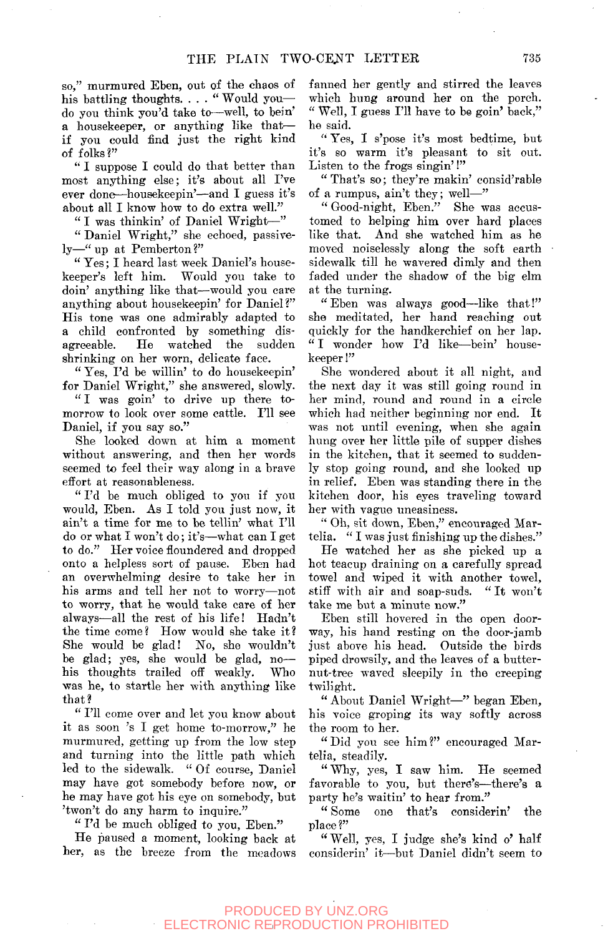so," murmured Eben, out of the chaos of his battling thoughts. . . . " Would youdo you think you'd take to—well, to bein' a housekeeper, or anything like that if you could find just the right kind of folks?"

" I suppose I could do that better than most anything else; it's about all I've ever done—housekeepin'—and I guess it's about all I know how to do extra well."

" I was thinkin' of Daniel Wright—"

" Daniel Wright," she echoed, passively—" up at Pemberton?"

" Yes; I heard last week Daniel's housekeeper's left him. Would you take to doin' anything like that—would you care anything about housekeepin' for Daniel ?" His tone was one admirably adapted to a child confronted by something disagreeable. He watched the sudden shrinking on her worn, delicate face.

" Yes, I'd be willin' to do housekeepin' for Daniel Wright," she answered, slowly.

" I was goin' to drive up there tomorrow to look over some cattle. I'll see Daniel, if you say so."

She looked down at him a moment without answering, and then her words seemed to feel their way along in a brave effort at reasonableness.

" I'd be much obliged to you if you would, Eben. As I told you just now, it ain't a time for me to be tellin' what I'll do or what I won't do; it's—what can I get to do." Her voice floundered and dropped onto a helpless sort of pause. Eben had an overwhelming desire to take her in his arms and tell her not to worry—not to worry, that he would take care of her always—all the rest of his life! Hadn't the time come? How would she take it? She would be glad! No, she wouldn't be glad; yes, she would he glad, no his thoughts trailed off weakly. Who was he, to startle her with anything like that?

" I'll come over and let you know about it as soon 's I get home to-morrow," he murmured, getting up from the low step and turning into the little path which led to the sidewalk. " Of course, Daniel may have got somebody before now, or he may have got his eye on somebody, but 'twon't do any harm to inquire."

" I'd be much obliged to you, Eben."

He paused a moment, looking hack at her, as the breeze from the meadows fanned her gently and stirred the leaves which hung around her on the porch. " Well, I guess I'll have to be goin' back," he said.

" Yes, I s'pose it's most bedtime, but it's so warm it's pleasant to sit out. Listen to the frogs singin'!"

" That's so; they're makin' consid'rable of a rumpus, ain't they; well—"

" Good-night, Eben." She was accustomed to helping him over hard places like that. And she watched him as he moved noiselessly along the soft earth sidewalk till he wavered dimly and then faded under the shadow of the big elm at the turning.

" Eben was always good—like that!" she meditated, her hand reaching out quickly for the handkerchief on her lap. " I wonder how I'd like—bein' housekeeper !"

She wondered about it all night, and the next day it was still going round in her mind, round and round in a circle which had neither beginning nor end. It was not until evening, when she again hung over her little pile of supper dishes in the kitchen, that it seemed to suddenly stop going round, and she looked up in relief. Eben was standing there in the kitchen door, his eyes traveling toward her with vague uneasiness.

" Oh, sit down, Eben," encouraged Martelia. " I was just finishing up the dishes."

He watched her as she picked up a hot teacup draining on a carefully spread towel and wiped it with another towel, stiff with air and soap-suds. " It won't take me but a minute now."

Eben still hovered in the open doorway, his hand resting on the door-jamb just above his head. Outside the birds piped drowsily, and the leaves of a butternut-tree waved sleepily in the creeping twilight.

" About Daniel Wright—" began Eben, his voice groping its way softly across the room to her.

" Did you see him ?" encouraged Martelia, steadily.

" Why, yes, I saw him. He seemed favorable to you, but there's—there's a party he's waitin' to hear from."<br>"Some one that's conside

one that's considerin' the place?"

"Well, yes, I judge she's kind o' half considerin' it—but Daniel didn't seem to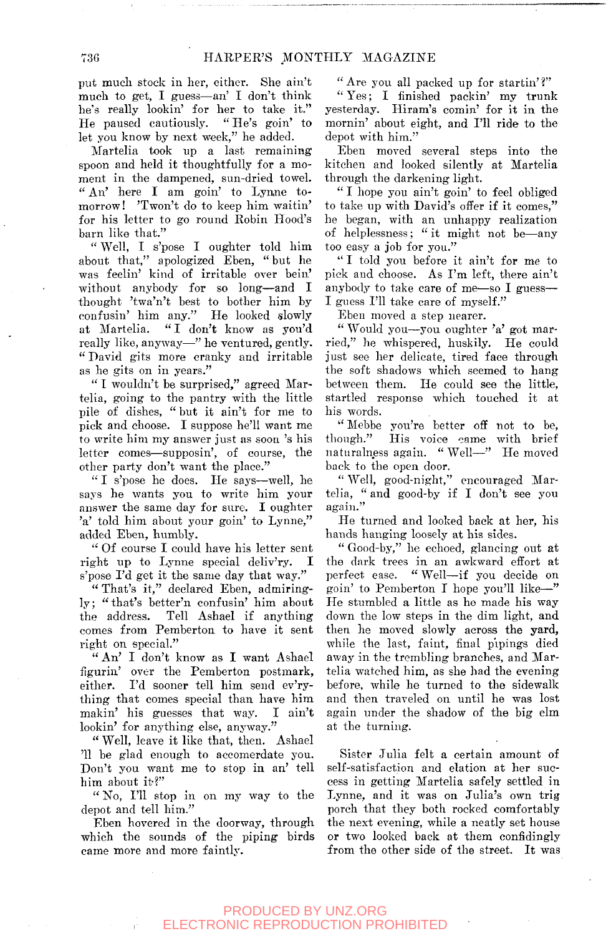put mueli stock in her, either. She ain't much to get, I guess—an' I don't think he's really lookin' for her to take it." He paused cautiously. " He's goin' to let you know by next week," he added.

Martelia took up a last remaining spoon and held it thoughtfully for a moment in the dampened, sun-dried towel. " An' here I am goin' to Lynne tomorrow! 'Twon't do to keep him waitin' for his letter to go round Robin Hood's barn like that."

" Well, I s'pose I oughter told him about that," apologized Eben, " but he was feelin' kind of irritable over bein' without anybody for so long—and I thought 'twa'n't best to bother him by confusin' him any." He looked slowly at Martelia. " I don't know as you'd really like, anyway—" he ventured, gently. " David gits more cranky and irritable as he gits on in years."

" I wouldn't be surprised," agreed Martelia, going to the pantry with the little pile of dishes, "but it ain't for me to pick and choose. I suppose he'll want me to write him my answer just as soon 's his letter comes—supposin', of course, the other party don't want the place."

" I s'pose he does. He says—well, he says he wants you to write him your answer the same day for sure. I oughter 'a' told him about your goin' to Lynne," added Eben, humbly.

" Of course I could have his letter sent right up to Lynne special deliv'ry. I s'pose I'd get it the same day that way."

" That's it," declared Eben, admiringly ; " that's better'n confusin' him about the address. Tell Ashael if anything comes from Pemberton to have it sent right on special."

" An' I don't know as I want Ashael figurin' over the Pemberton postmark, either. I'd sooner tell him send ev'rything that comes special than have him makin' his guesses that way. I ain't lookin' for anything else, anyway."

" Well, leave it like that, then. Ashael '11 be glad enough to accomerdate you. Don't you want me to stop in an' tell him about it?"

" No, I'll stop in on my way to the depot and tell him."

Eben hovered in the doorway, through which the sounds of the piping birds came more and more faintly.

" Are you all packed up for startin' *V* 

" Yes; I finished packin' my trunk yesterday. Hiram's comin' for it in the mornin' about eight, and I'll ride to the depot with him.'

Eben moved several steps into the kitchen and looked silently at Martelia through the darkening light.

" I hope you ain't goin' to feel obliged to take up with David's offer if it comes," he began, with an unhappy realization of helplessness; " it might not be—any too easy a job for you."

" I told you before it ain't for me to pick and choose. As I'm left, there ain't anybody to take care of me—so I guess— I guess I'll take care of myself."

Eben moved a step nearer.

" Would you—you oughter 'a' got married," he whispered, huskily. He could just see her delicate, tired face through the soft shadows which seemed to hang between them. He could see the little, startled response which touched it at his words.

"Mebbe you're better off not to be, though." His voice came with brief His voice came with brief naturalness again. " Well—" He moved back to the open door.

" Well, good-night," encouraged Martelia, " and good-by if I don't see you again."

He turned and looked back at her, his hands hanging loosely at his sides.

" Good-by," he echoed, glancing out at the dark trees in an awkward effort at perfect ease. " Well—if you decide on goin' to Pemberton I hope you'll like—" He stumbled a little as he made his way down the low steps in the dim light, and then he moved slowly across the yard, while the last, faint, final pipings died away in the trembling branches, and Martelia watched him, as she had the evening before, while he turned to the sidewalk and then traveled on until he was lost again under the shadow of the big elm at the turning.

Sister Julia felt a certain amount of self-satisfaction and elation at her success in getting Martelia safely settled in Lynne, and it was on Julia's own trig porch that they both rocked comfortably the next evening, while a neatly set house or two looked back at them confidingly from the other side of the street. It was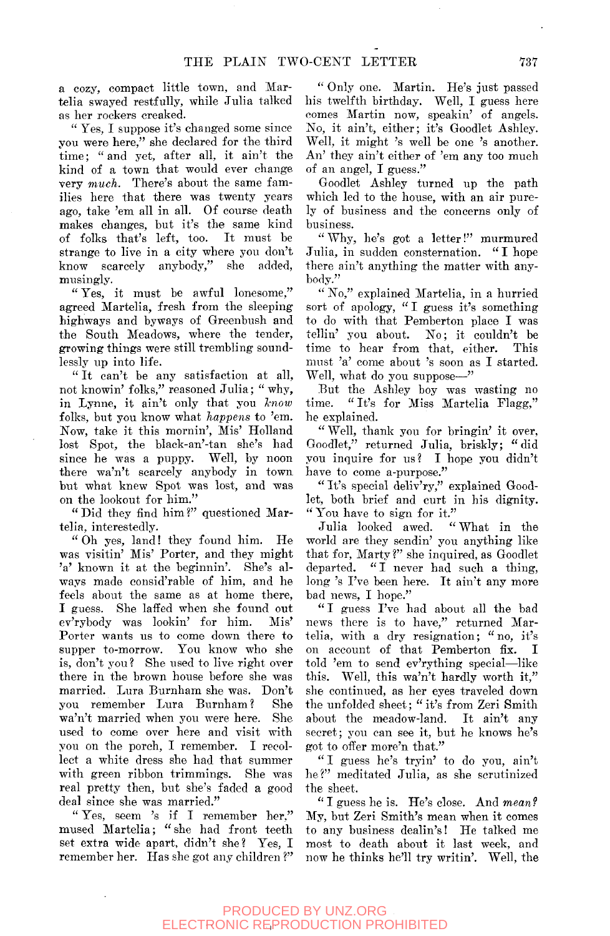a cozy, compact little town, and Martelia swayed restfully, while Julia talked as her rockers creaked.

" Yes, I suppose it's changed some since you were here," she declared for the third time; " and yet, after all, it ain't the kind of a town that would ever change very *much.* There's ahout the same families here that there was twenty years ago, take 'em all in all. Of course death makes changes, but it's the same kind of folks that's left, too. It must be strange to live in a city where you don't know scarcely anybody," she added, musingly.

" Yes, it must be awful lonesome," agreed Martelia, fresh from the sleeping highways and byways of Greenbush and the South Meadows, where the tender, growing things were still trembling soundlessly up into life.

" It can't be any satisfaction at all, not knowin' folks," reasoned Julia; " why, in Lynne, it ain't only that you *know*  folks, but you know what *happens* to 'em. Now, take it this mornin'. Mis' Holland lost Spot, the black-an'-tan she's had since he was a puppy. Well, by noon there wa'n't scarcely anybody in town but what knew Spot was lost, and was on the lookout for him."

" Did they find him ?" questioned Martelia, interestedly.

" Oh yes, land! they found him. He was visitin' Mis' Porter, and they might 'a' known it at the beginnin'. She's always made eonsid'rable of him, and he feels about the same as at home there, I guess. She laffed when she found out ev'rybody was lookin' for him. Mis' Porter wants us to come down there to supper to-morrow. You know who she is, don't you ? She used to live right over there in the brown house before she was married. Lura Burnham she was. Don't you remember Lura Burnham? She wa'n't married when you were here. She used to come over here and visit with you on the porch, I remember. I recollect a white dress she had that summer with green ribbon trimmings. She was real pretty then, but she's faded a good deal since she was married."

" Yes, seem 's if I remember her," mused Martelia; " she had front teeth set extra wide apart, didn't she? Yes, I remember her. Has she got any children ?"

" Only one. Martin. He's just passed his twelfth birthday. Well, I guess here comes Martin now, speakin' of angels. No, it ain't, either; it's Goodlet Ashley. Well, it might 's well be one 's another. An' they ain't either of 'em any too much of an angel, I guess."

Goodlet Ashley turned up the path which led to the house, with an air purely of business and the concerns only of business.

" Why, he's got a letter!" murmured Julia, in sudden consternation. " I hope there ain't anything the matter with anybody."

" No," explained Martelia, in a hurried sort of apology, "I guess it's something to do with that Pemberton place I was tellin' you about. No; it couldn't be time to hear from that, either. This must 'a' come about 's soon as I started. Well, what do you suppose—"

But the Ashley boy was wasting no<br>time. "It's for Miss Martelia Flagg." "It's for Miss Martelia Flagg," he explained.

" Well, thank you for bringin' it over, Goodlet," returned Julia, briskly; " did you inquire for us? I hope you didn't have to come a-purpose."

" It's special deliv'ry," explained Goodlet, both brief and curt in his dignity.

" You have to sign for it." Julia looked awed. world are they sendin' you *anythmg* like that for, Marty ?" she inquired, as Goodlet departed. " I never had such a thing, long 's I've been here. It ain't any more bad news, I hope."

"I guess I've had about all the bad news there is to have," returned Martelia, with a dry resignation; " no, it's on account of that Pemberton fix. I told 'em to send ev'rything special—^like this. Well, this wa'n't hardly worth it," she continued, as her eyes traveled down the unfolded sheet; " it's from Zeri Smith about the meadow-land. It ain't any secret; you can see it, but he knows he's got to offer more'n that."

" I guess he's tryin' to do you, ain't he?" meditated Julia, as she scrutinized the sheet.

" I guess he is. He's close. And *mean?*  My, but Zeri Smith's mean when it comes to any business dealin's! He talked me most to death about it last week, and now he thinks he'll try writin'. Well, the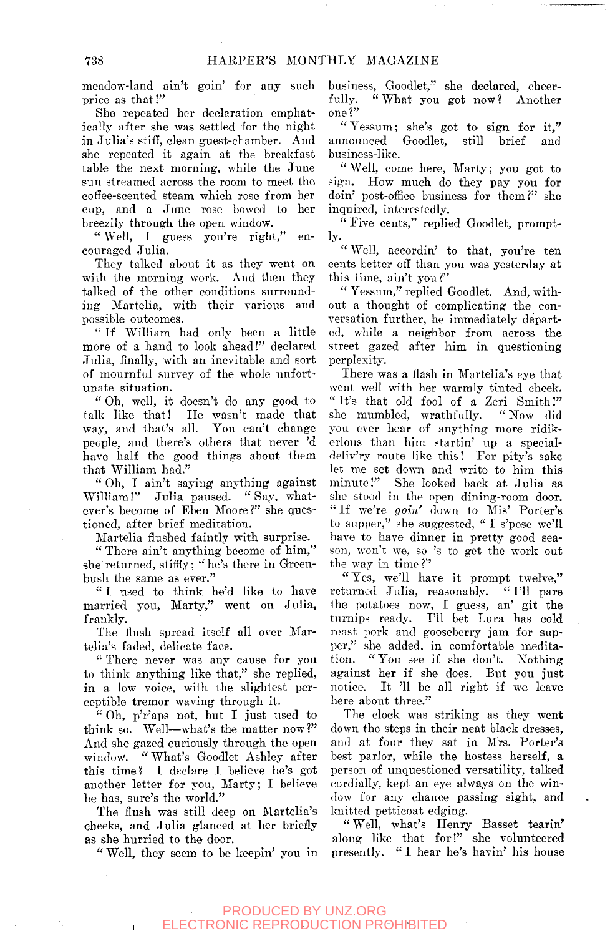meadow-land ain't goin' for any such price as that!"

She repeated her declaration emphatically after she was settled for the night in Julia's stiff, clean guest-chamber. And she repeated it again at the breakfast table the next morning, while the June sun streamed across the room to meet the cotfee-scented steam which rose from her cup, and a June rose bowed to her breezily through the open window.

" Well, I guess you're right," encouraged Julia.

They talked about it as they went on with the morning work. *And* then they talked of the other conditions surrounding Martelia, with their various and possible outcomes.

" If William had only been a little more of a hand to look ahead!" declared Julia, finally, with an inevitable and sort of mournful survey of the whole unfortunate situation.

" Oh, well, it doesn't do any good to talk like that! He wasn't made that way, and that's all. You can't change people, and there's others that never 'd have half the good things about them that William had."

" Oh, I ain't saying anything against William!" Julia paused. " Say, whatever's become of Eben Moore?" she questioned, after brief meditation.

Martelia flushed faintly with surprise.

" There ain't anything become of him," she returned, stiffly; " he's there in Greenbush the same as ever."

"I used to think he'd like to have married you, Marty," went on Julia, frankly.

The flush spread itself all over Martelia's faded, delicate face.

" There never was any cause for you to think anything like that," she replied, in a low voice, with the slightest perceptible tremor waving through it.

" Oh, p'r'aps not, but I just used to think so. Well—what's the matter now?" And she gazed curiously through the open window. " What's Goodlet Ashley after this time? I declare I believe he's got another letter for you, Marty; I believe he has, sure's the world."

The flush was still deep on Martelia's cheeks, and Julia glanced at her briefly as she hurried to the door.

" Well, they seem to be keepin' you in

business, Goodlet," she declared, cheer-<br>fully. "What you got now? Another "What you got now? Another one?"

"Yessum; she's got to sign for it," announced Goodlet, still brief and business-like.

" Well, come here, Marty; you got to sign. How much do they pay you for doin' post-office business for them?" she inquired, interestedly.

" Five cents," replied Goodlet, promptly.

" Well, accordin' to that, you're ten cents better off than you was yesterday at this time, ain't you ?"

" Yessum," replied Goodlet. And, without a thought of complicating the conversation further, he immediately departed, while a neighbor from across the street gazed after him in questioning perplexity.

There was a flash in Martelia's eye that went well with her warmly tinted cheek. "It's that old fool of a Zeri Smith!"<br>she mumbled, wrathfully. "Now did she mumbled, wrathfully. you ever hear of anything more ridikcrlous than him startin' up a specialdeliv'ry route like this! For pity's sake let me set down and write to him this minute!" She looked back at Julia as she stood in the open dining-room door. " If we're *goin'* down to Mis' Porter's to supper," she suggested, " I s'poso we'll have to have dinner in pretty good season, won't we, so 's to get the work out the way in time ?"

" Yes, we'll have it prompt twelve," returned Julia, reasonably. " I'll pare the potatoes now, I guess, an' git the turnips ready. I'll bet Lura has cold roast pork and gooseberry jam for supper," she added, in comfortable meditation. "You see if she don't. Nothing against her if she does. But you just notice. It '11 be all right if we leave here about three."

The clock was striking as they went down the steps in their neat black dresses, and at four they sat in Mrs. Porter's best parlor, while the hostess herself, a person of unquestioned versatility, talked cordially, kept an eye always on the window for any chance passing sight, and knitted petticoat edging.

" Well, what's Henry Basset tearin' along like that for!" she volunteered presently. " I hear he's havin' his house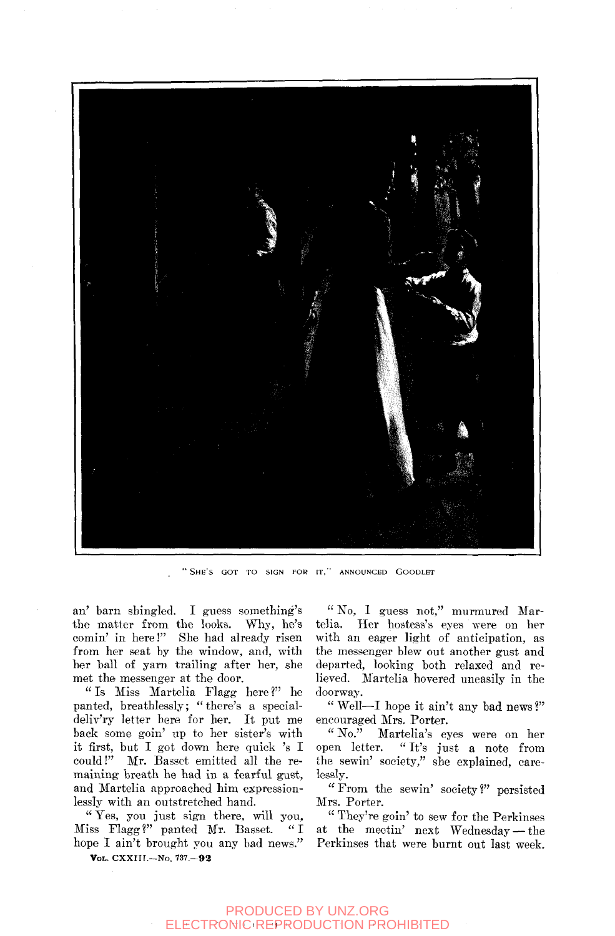

"SHE'S GOT TO SIGN FOR IT," ANNOUNCED GOODLET

an' barn shingled. I guess something's the matter from the looks. Why, he's comin' in here!" She had already risen from her seat by the window, and, with her ball of yam trailing after her, she met the messenger at the door.

" Is Miss Martelia Flagg here ?" he panted, breathlessly; " there's a specialdeliv'ry letter here for her. It put me back some goin' up to her sister's with it first, but I got down here quick 's I could!" Mr. Basset emitted all the remaining breath he had in a fearful gust, and Martelia approached him expressionlessly with an outstretched hand.

" Yes, you just sign there, will you, Miss Flagg ?" panted Mr. Basset. " I hope I ain't brought you any bad news."

VOL. CXXriI.—NO. 737.-92

" No, I guess not," murmured Martelia. Her hostess's eyes were on her with an eager light of anticipation, as the messenger blew out another gust and departed, looking both relaxed and relieved. Martelia hovered uneasily in the doorway.

" Well—I hope it ain't any bad news ?" encouraged Mrs. Porter.<br>"No." Martelia's ex-

Martelia's eyes were on her open letter. "It's just a note from the sewin' society," she explained, carelessly.

" From the sewin' society ?" persisted Mrs. Porter.

" They're goin' to sew for the Perkinses at the meotin' next Wednesday — the Perkinses that were burnt out last week.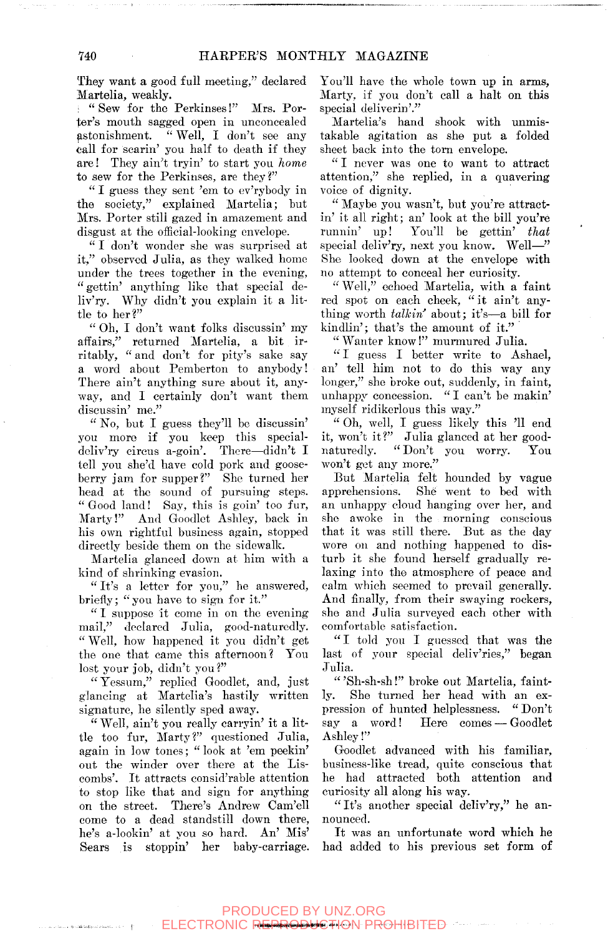They want a good full meeting," declared Martelia, weakly.

: " Sew for the Perkinses!" Mrs. Porter's mouth sagged open in unconcealed astonishment. " Well, I don't see any call for scarin' you half to death if they are! They ain't tryin' to start you *home*  to sew for the Perkinses, are they?"

" I guess they sent 'em to ev'rybody in the society," explained Martelia; but Mrs. Porter still gazed in amazement and disgust at the official-looking envelope.

" I don't wonder she was surprised at it," observed Julia, as they walked homo under the trees together in the evening, " gettin' anything like that special deliv'ry. Why didn't you explain it a little to her?"

" Oh, I don't want folks discussin' my affairs," returned Martelia, a bit irritably, " and don't for pity's sake say a word about Pemberton to anybody! There ain't anything sure about it, anyway, and I certainly don't want them discussin' me."

" No, but I guess they'll be discussin' you more if you keep this specialdoliv'ry circus a-goin'. There—didn't I tell you she'd have cold pork and gooseberry jam for supper?" She turned her head at the sound of pursuing steps. "Good land! Say, this is goin' too fur, Marty!" And Goodlet Ashley, back in his own rightful business again, stopped directly beside them on the sidewalk.

Martelia glanced down at him with a kind of shrinking evasion.

"It's a letter for you," he answered, briefly; "you have to sign for it."

" I suppose it come in on the evening mail," declared Julia, good-naturedly. " Well, how happened it you didn't get the one that came this afternoon? You lost your job, didn't you ?"

" Yesaum," replied Goodlet, and, just glancing at Martelia's hastily written signature, he silently sped away.

" Well, ain't you really carryin' it a little too fur, Marty?" questioned Julia, again in low tones; " look at 'em peekin' out the winder over there at the Liscombs'. It attracts consid'rable attention to stop like that and sign for anything on the street. There's Andrew Cam'ell come to a dead standstill down there, he's a-lookin' at you so hard. An' Mis' Sears is stoppin' her baby-carriage.

You'll have the whole town up in arms. Marty, if you don't call a halt on this special deliverin'."

Martelia's hand shook with unmistakable agitation as she put a folded sheet back into the torn envelope.

"I never was one to want to attract attention," she replied, in a quavering voice of dignity.

" Maybe you wasn't, but you're attractin' it all right; an' look at the bill you're<br>runnin' up! You'll be gettin' that You'll be gettin' that special deliv'ry, next you know. Well—" She looked down at the envelope with no attempt to conceal her curiosity.

" Well," echoed Martelia, with a faint red spot on each cheek, " it ain't anything worth *talkin* about; it's—a bill for kindlin'; that's the amount of it."

" Wanter know!" murmured Julia.

" I guess I better write to Ashael, an' tell him not to do this way any longer," she broke out, suddenly, in faint, unhappy concession. " I can't be makin' myself ridikerlous this way."

" Oh, well, I guess likely this 'll end it, won't it?" Julia glanced at her goodnaturedly. "Don't you worry. You won't get any more."

But Martelia felt hounded by vague apprehensions. She went to bed with an unhappy cloud hanging over her, and she awoke in the morning conscious that it was still there. But as the day wore on and nothing happened to disturb it she found herself gradually relaxing into the atmosphere of peace and calm which seemed to prevail generally. And finally, from their swaying rockers, she and Julia surveyed each other with comfortable satisfaction.

"I told you I guessed that was the last of your special deliv'ries," began Julia.

" 'Sh-sh-sh!" broke out Martelia, faintly. She turned her head with an expression of hunted helplessness. " Don't say a word! Here comes — Goodlet Ashley!"

Goodlet advanced with his familiar, business-like tread, quite conscious that he had attracted both attention and curiosity all along his way.

" It's another special deliv'ry," he announced.

It was an unfortunate word which he had added to his previous set form of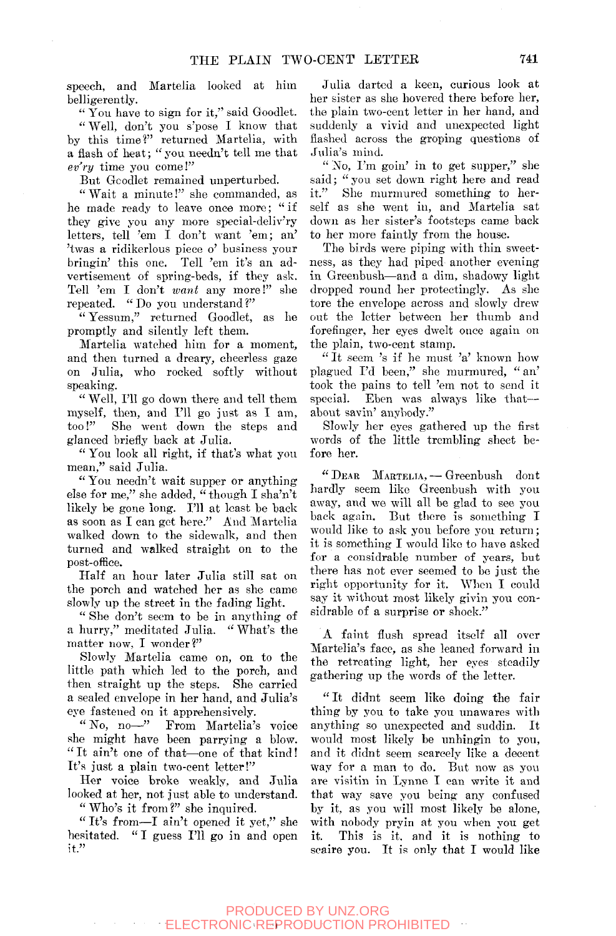speech, and Martelia looked at him belligerently.

" You have to sign for it," said Goodlet.

" Well, don't you s'pose I know that by this time?" returned Martelia, with a flash of heat; " you needn't tell me that *ev'ry* time you come!"

But Gcodlet remained unperturbed.

" Wait a minute!" she commanded, as he made ready to leave once more; " if they give you any more special-deliv'ry letters, tell 'em I don't want 'em; an' 'twas a ridikerlous piece o' business your bringin' this one. Tell 'em it's an advertisement of spring-beds, if they ask. Tell 'em I don't *wani* any more!" she repeated. "Do you understand?"

" Yessum," returned Goodlet, as he promptly and silently left them.

Martelia watched him for a moment, and then turned a dreary, cheerless gaze on Julia, who rocked softly without speaking.

" Well, I'll go down there and tell them myself, then, and I'll go just as I am, too!" She went down the steps and glanced briefly back at Julia.

" You look all right, if that's what you mean," said Julia.

" You needn't wait supper or anything else for me," she added, " though I sha'n't likely be gone long. I'll at least be back as soon as I can get here." And Martelia walked down to the sidewalk, and then turned and walked straight on to the post-office.

Half an hour later Julia still sat on the porch and watched her as she came slowly up the street in the fading light.

" She don't seem to be in anything of a hurry," meditated Julia. " What's the matter now, I wonder?"

Slowly Martelia came on, on to the little path which led to the porch, and then straight up the steps. She carried a sealed envelope in her hand, and Julia's eye fastened on it apprehensively.

" No, no—" From Martelia's voice she might have been parrying a blow. " It ain't one of that—one of that kind! It's just a plain two-eent letter!"

Her voice broke weakly, and Julia looked at her, not just able to understand.

" Who's it from ?" she inquired.

" It's from—I ain't opened it yet," she hesitated. "I guess I'll go in and open it."

Julia darted a keen, curious look at her sister as she hovered there before her, the plain two-cent letter in her hand, and suddenly a vivid and unexpected light flashed across the groping questions of Julia's mind.

" No, I'm goin' in to get supper," she said; " you set down right here and read it." She murmured something to herself as she went in, and Martelia sat down as her sister's footsteps came back to her more faintly from the house.

The birds were piping with thin sweetness, as they had piped another evening in Greeubush—and a dim, shadowy light dropped round her protectingly. As she tore the envelope across and slowly drew out the letter between her thumb and forefinger, her eyes dwelt once again on the plain, two-cent stamp.

" It seem 's if he must 'a' known how plagued I'd been," she murmured, "an' took the pains to tell 'em not to send it special. Eben was always like that about savin' anybody."

Slowly her eyes gathered up the first words of the little trembling sheet before her.

" DEAR MARTELIA, — Greenbush dont hardly seem like Greenbush with you away, and we will all be glad to see you back again. But there is something I would like to ask you before you return; it is something I would like to have asked for a eonsidrable number of years, but there has not ever seemed to be just the right opportunity for it. When I could say it without most likely givin you eonsidrable of a surprise or shock."

A faint flush spread itself all over Martelia's face, as she leaned forward in the retreating light, her eyes steadily gathering up the words of the letter.

" It didnt seem like doing the fair thing by you to take you unawares with anything so unexpected and suddin. It would most likely be unhingin to you, and it didnt seem scarcely like a decent way for a man to do. But now as you are visitin in Lynne I can write it and that way save you being any confused by it, as you will most likely be alone, with nobody pryin at you when you get it. This is it. and it is nothing to scaire you. It is only that I would like